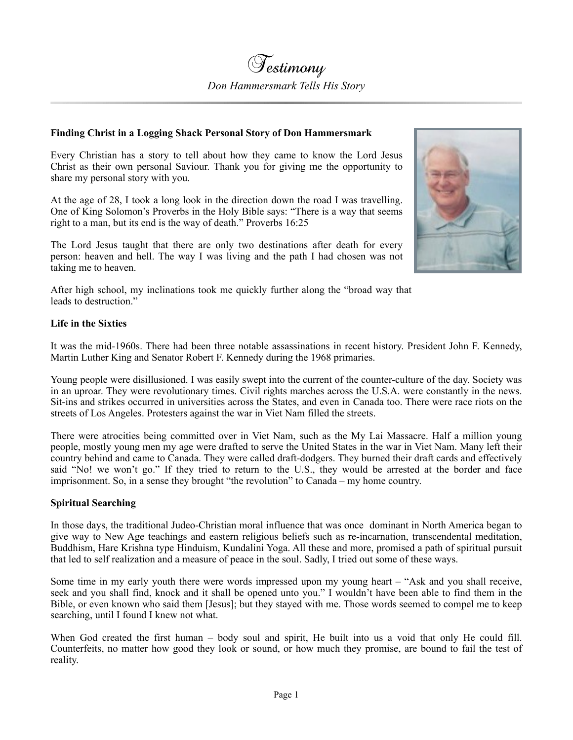## **Finding Christ in a Logging Shack Personal Story of Don Hammersmark**

Every Christian has a story to tell about how they came to know the Lord Jesus Christ as their own personal Saviour. Thank you for giving me the opportunity to share my personal story with you.

At the age of 28, I took a long look in the direction down the road I was travelling. One of King Solomon's Proverbs in the Holy Bible says: "There is a way that seems right to a man, but its end is the way of death." Proverbs 16:25

The Lord Jesus taught that there are only two destinations after death for every person: heaven and hell. The way I was living and the path I had chosen was not taking me to heaven.



After high school, my inclinations took me quickly further along the "broad way that leads to destruction."

## **Life in the Sixties**

It was the mid-1960s. There had been three notable assassinations in recent history. President John F. Kennedy, Martin Luther King and Senator Robert F. Kennedy during the 1968 primaries.

Young people were disillusioned. I was easily swept into the current of the counter-culture of the day. Society was in an uproar. They were revolutionary times. Civil rights marches across the U.S.A. were constantly in the news. Sit-ins and strikes occurred in universities across the States, and even in Canada too. There were race riots on the streets of Los Angeles. Protesters against the war in Viet Nam filled the streets.

There were atrocities being committed over in Viet Nam, such as the My Lai Massacre. Half a million young people, mostly young men my age were drafted to serve the United States in the war in Viet Nam. Many left their country behind and came to Canada. They were called draft-dodgers. They burned their draft cards and effectively said "No! we won't go." If they tried to return to the U.S., they would be arrested at the border and face imprisonment. So, in a sense they brought "the revolution" to Canada – my home country.

## **Spiritual Searching**

In those days, the traditional Judeo-Christian moral influence that was once dominant in North America began to give way to New Age teachings and eastern religious beliefs such as re-incarnation, transcendental meditation, Buddhism, Hare Krishna type Hinduism, Kundalini Yoga. All these and more, promised a path of spiritual pursuit that led to self realization and a measure of peace in the soul. Sadly, I tried out some of these ways.

Some time in my early youth there were words impressed upon my young heart – "Ask and you shall receive, seek and you shall find, knock and it shall be opened unto you." I wouldn't have been able to find them in the Bible, or even known who said them [Jesus]; but they stayed with me. Those words seemed to compel me to keep searching, until I found I knew not what.

When God created the first human – body soul and spirit, He built into us a void that only He could fill. Counterfeits, no matter how good they look or sound, or how much they promise, are bound to fail the test of reality.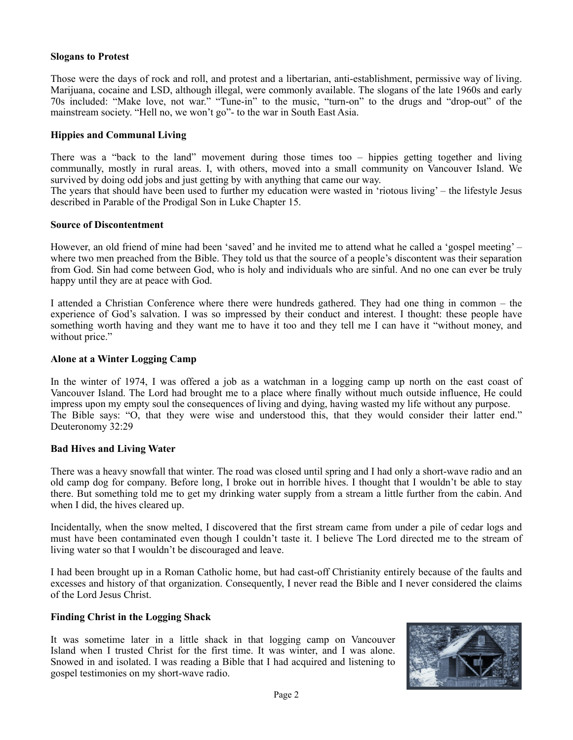## **Slogans to Protest**

Those were the days of rock and roll, and protest and a libertarian, anti-establishment, permissive way of living. Marijuana, cocaine and LSD, although illegal, were commonly available. The slogans of the late 1960s and early 70s included: "Make love, not war." "Tune-in" to the music, "turn-on" to the drugs and "drop-out" of the mainstream society. "Hell no, we won't go"- to the war in South East Asia.

### **Hippies and Communal Living**

There was a "back to the land" movement during those times too – hippies getting together and living communally, mostly in rural areas. I, with others, moved into a small community on Vancouver Island. We survived by doing odd jobs and just getting by with anything that came our way.

The years that should have been used to further my education were wasted in 'riotous living' – the lifestyle Jesus [de](https://www.heaven4sure.com/subscribe/)scribed in Parable of the Prodigal Son in Luke Chapter 15.

#### **Source of Discontentment**

However, an old friend of mine had been 'saved' and he invited me to attend what he called a 'gospel meeting' – where two men preached from the Bible. They told us that the source of a people's discontent was their separation from God. Sin had come between God, who is holy and individuals who are sinful. And no one can ever be truly happy until they are at peace with God.

I attended a Christian Conference where there were hundreds gathered. They had one thing in common – the experience of God's salvation. I was so impressed by their conduct and interest. I thought: these people have something worth having and they want me to have it too and they tell me I can have it "without money, and without price."

#### **Alone at a Winter Logging Camp**

In the winter of 1974, I was offered a job as a watchman in a logging camp up north on the east coast of Vancouver Island. The Lord had brought me to a place where finally without much outside influence, He could impress upon my empty soul the consequences of living and dying, having wasted my life without any purpose. The Bible says: "O, that they were wise and understood this, that they would consider their latter end." Deuteronomy 32:29

#### **Bad Hives and Living Water**

There was a heavy snowfall that winter. The road was closed until spring and I had only a short-wave radio and an old camp dog for company. Before long, I broke out in horrible hives. I thought that I wouldn't be able to stay there. But something told me to get my drinking water supply from a stream a little further from the cabin. And when I did, the hives cleared up.

Incidentally, when the snow melted, I discovered that the first stream came from under a pile of cedar logs and must have been contaminated even though I couldn't taste it. I believe The Lord directed me to the stream of living water so that I wouldn't be discouraged and leave.

I had been brought up in a Roman Catholic home, but had cast-off Christianity entirely because of the faults and excesses and history of that organization. Consequently, I never read the Bible and I never considered the claims of the Lord Jesus Christ.

#### **Finding Christ in the Logging Shack**

It was sometime later in a little shack in that logging camp on Vancouver Island when I trusted Christ for the first time. It was winter, and I was alone. Snowed in and isolated. I was reading a Bible that I had acquired and listening to gospel testimonies on my short-wave radio.